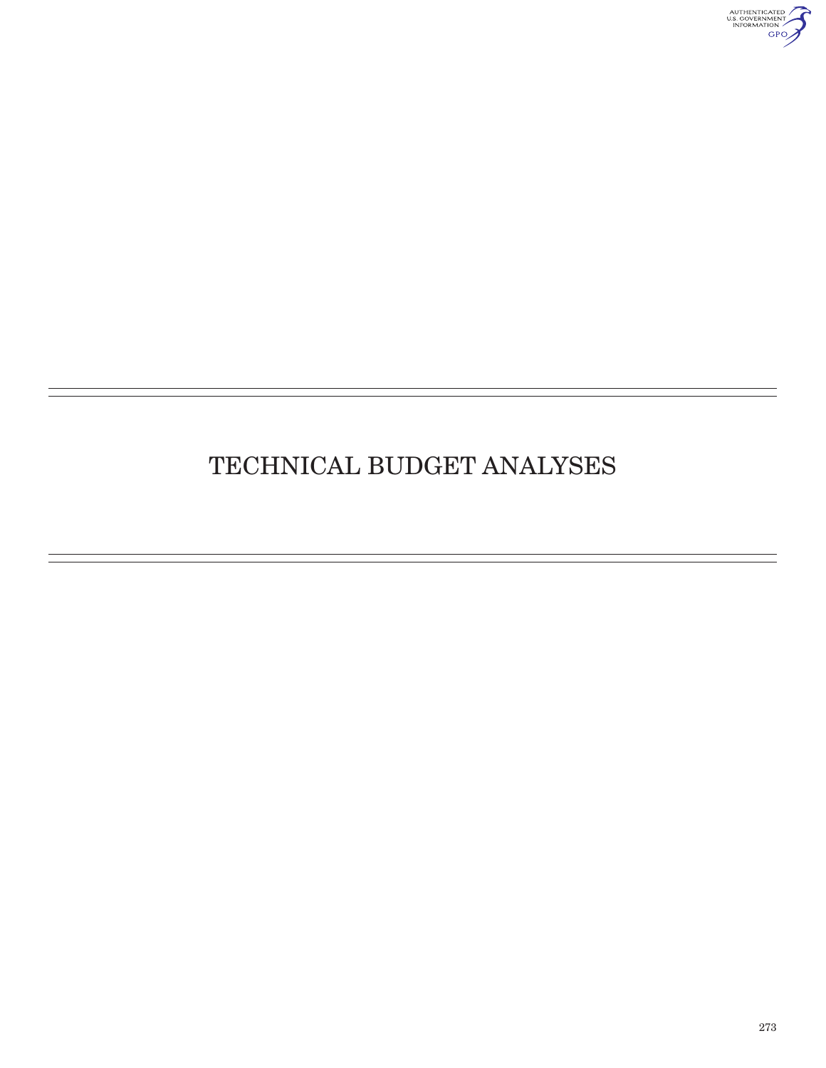

# TECHNICAL BUDGET ANALYSES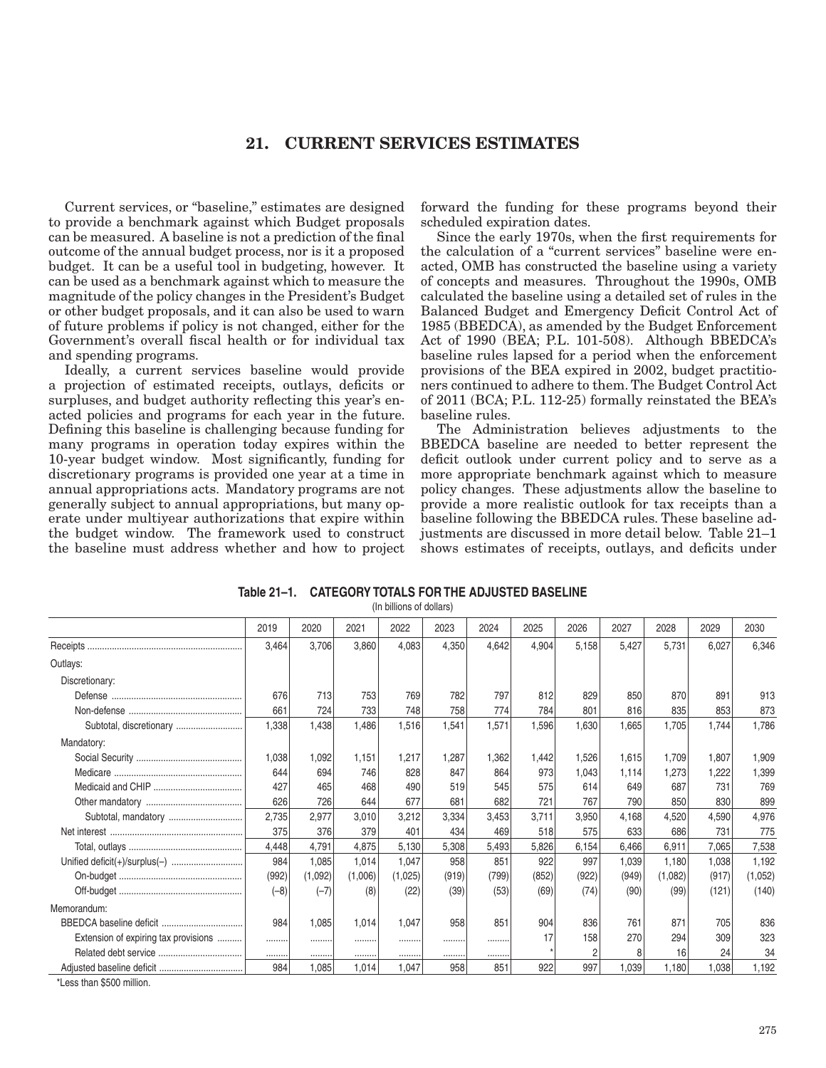# 21. CURRENT SERVICES ESTIMATES

Current services, or "baseline," estimates are designed to provide a benchmark against which Budget proposals can be measured. A baseline is not a prediction of the final outcome of the annual budget process, nor is it a proposed budget. It can be a useful tool in budgeting, however. It can be used as a benchmark against which to measure the magnitude of the policy changes in the President's Budget or other budget proposals, and it can also be used to warn of future problems if policy is not changed, either for the Government's overall fiscal health or for individual tax and spending programs.

Ideally, a current services baseline would provide a projection of estimated receipts, outlays, deficits or surpluses, and budget authority reflecting this year's enacted policies and programs for each year in the future. Defining this baseline is challenging because funding for many programs in operation today expires within the 10-year budget window. Most significantly, funding for discretionary programs is provided one year at a time in annual appropriations acts. Mandatory programs are not generally subject to annual appropriations, but many operate under multiyear authorizations that expire within the budget window. The framework used to construct the baseline must address whether and how to project

forward the funding for these programs beyond their scheduled expiration dates.

Since the early 1970s, when the first requirements for the calculation of a "current services" baseline were enacted, OMB has constructed the baseline using a variety of concepts and measures. Throughout the 1990s, OMB calculated the baseline using a detailed set of rules in the Balanced Budget and Emergency Deficit Control Act of 1985 (BBEDCA), as amended by the Budget Enforcement Act of 1990 (BEA; P.L. 101-508). Although BBEDCA's baseline rules lapsed for a period when the enforcement provisions of the BEA expired in 2002, budget practitioners continued to adhere to them. The Budget Control Act of 2011 (BCA; P.L. 112-25) formally reinstated the BEA's baseline rules.

The Administration believes adjustments to the BBEDCA baseline are needed to better represent the deficit outlook under current policy and to serve as a more appropriate benchmark against which to measure policy changes. These adjustments allow the baseline to provide a more realistic outlook for tax receipts than a baseline following the BBEDCA rules. These baseline adjustments are discussed in more detail below. Table 21–1 shows estimates of receipts, outlays, and deficits under

|                                      |        |         |         | (III DIIIUIIO UI UUIIQIO) |       |       |       |                |       |         |       |         |
|--------------------------------------|--------|---------|---------|---------------------------|-------|-------|-------|----------------|-------|---------|-------|---------|
|                                      | 2019   | 2020    | 2021    | 2022                      | 2023  | 2024  | 2025  | 2026           | 2027  | 2028    | 2029  | 2030    |
|                                      | 3,464  | 3.706   | 3,860   | 4,083                     | 4,350 | 4,642 | 4,904 | 5,158          | 5.427 | 5.731   | 6.027 | 6,346   |
| Outlays:                             |        |         |         |                           |       |       |       |                |       |         |       |         |
| Discretionary:                       |        |         |         |                           |       |       |       |                |       |         |       |         |
|                                      | 676    | 713     | 753     | 769                       | 782   | 797   | 812   | 829            | 850   | 870     | 891   | 913     |
|                                      | 661    | 724     | 733     | 748                       | 758   | 774   | 784   | 801            | 816   | 835     | 853   | 873     |
|                                      | 1,338  | 1.438   | 1,486   | 1,516                     | 1,541 | 1,571 | 1,596 | 1,630          | 1.665 | 1,705   | 1,744 | 1,786   |
| Mandatory:                           |        |         |         |                           |       |       |       |                |       |         |       |         |
|                                      | 1.038  | 1,092   | 1.151   | 1.217                     | 1.287 | 1.362 | 1.442 | 1.526          | 1.615 | 1.709   | 1.807 | 1,909   |
|                                      | 644    | 694     | 746     | 828                       | 847   | 864   | 973   | 1,043          | 1,114 | 1,273   | 1,222 | 1,399   |
|                                      | 427    | 465     | 468     | 490                       | 519   | 545   | 575   | 614            | 649   | 687     | 731   | 769     |
|                                      | 626    | 726     | 644     | 677                       | 681   | 682   | 721   | 767            | 790   | 850     | 830   | 899     |
|                                      | 2,735  | 2,977   | 3,010   | 3,212                     | 3,334 | 3,453 | 3,711 | 3,950          | 4,168 | 4,520   | 4,590 | 4,976   |
|                                      | 375    | 376     | 379     | 401                       | 434   | 469   | 518   | 575            | 633   | 686     | 731   | 775     |
|                                      | 4,448  | 4.791   | 4.875   | 5.130                     | 5.308 | 5,493 | 5.826 | 6,154          | 6.466 | 6.911   | 7.065 | 7,538   |
|                                      | 984    | 1,085   | 1,014   | 1,047                     | 958   | 851   | 922   | 997            | 1,039 | 1,180   | 1,038 | 1,192   |
|                                      | (992)  | (1,092) | (1,006) | (1,025)                   | (919) | (799) | (852) | (922)          | (949) | (1,082) | (917) | (1,052) |
|                                      | $(-8)$ | $(-7)$  | (8)     | (22)                      | (39)  | (53)  | (69)  | (74)           | (90)  | (99)    | (121) | (140)   |
| Memorandum:                          |        |         |         |                           |       |       |       |                |       |         |       |         |
|                                      | 984    | 1,085   | 1,014   | 1,047                     | 958   | 851   | 904   | 836            | 761   | 871     | 705   | 836     |
| Extension of expiring tax provisions |        |         |         |                           |       |       | 17    | 158            | 270   | 294     | 309   | 323     |
|                                      |        |         |         |                           |       |       |       | $\overline{2}$ | 8     | 16      | 24    | 34      |
|                                      | 984    | 1.085   | 1.014   | 1.047                     | 958   | 851   | 922   | 997            | 1,039 | 1,180   | 1,038 | 1,192   |

Table 21-1. CATEGORY TOTALS FOR THE ADJUSTED BASELINE

(In hillione of dollare)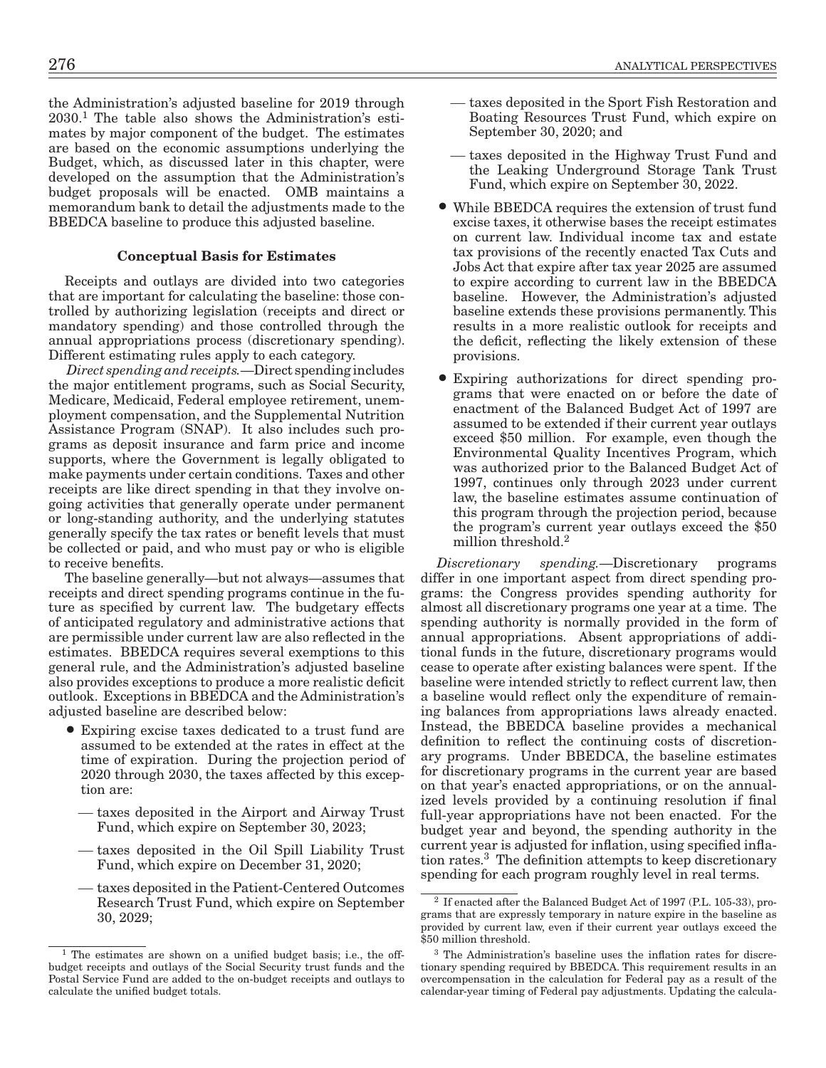the Administration's adjusted baseline for 2019 through  $2030<sup>1</sup>$ . The table also shows the Administration's estimates by major component of the budget. The estimates are based on the economic assumptions underlying the Budget, which, as discussed later in this chapter, were developed on the assumption that the Administration's budget proposals will be enacted. OMB maintains a memorandum bank to detail the adjustments made to the BBEDCA baseline to produce this adjusted baseline.

#### Conceptual Basis for Estimates

Receipts and outlays are divided into two categories that are important for calculating the baseline: those controlled by authorizing legislation (receipts and direct or mandatory spending) and those controlled through the annual appropriations process (discretionary spending). Different estimating rules apply to each category.

 *Direct spending and receipts.*—Direct spending includes the major entitlement programs, such as Social Security, Medicare, Medicaid, Federal employee retirement, unemployment compensation, and the Supplemental Nutrition Assistance Program (SNAP). It also includes such programs as deposit insurance and farm price and income supports, where the Government is legally obligated to make payments under certain conditions. Taxes and other receipts are like direct spending in that they involve ongoing activities that generally operate under permanent or long-standing authority, and the underlying statutes generally specify the tax rates or benefit levels that must be collected or paid, and who must pay or who is eligible to receive benefits.

The baseline generally—but not always—assumes that receipts and direct spending programs continue in the future as specified by current law. The budgetary effects of anticipated regulatory and administrative actions that are permissible under current law are also reflected in the estimates. BBEDCA requires several exemptions to this general rule, and the Administration's adjusted baseline also provides exceptions to produce a more realistic deficit outlook. Exceptions in BBEDCA and the Administration's adjusted baseline are described below:

- Expiring excise taxes dedicated to a trust fund are assumed to be extended at the rates in effect at the time of expiration. During the projection period of 2020 through 2030, the taxes affected by this exception are:
	- taxes deposited in the Airport and Airway Trust Fund, which expire on September 30, 2023;
	- taxes deposited in the Oil Spill Liability Trust Fund, which expire on December 31, 2020;
	- taxes deposited in the Patient-Centered Outcomes Research Trust Fund, which expire on September 30, 2029;
- taxes deposited in the Sport Fish Restoration and Boating Resources Trust Fund, which expire on September 30, 2020; and
- taxes deposited in the Highway Trust Fund and the Leaking Underground Storage Tank Trust Fund, which expire on September 30, 2022.
- While BBEDCA requires the extension of trust fund excise taxes, it otherwise bases the receipt estimates on current law. Individual income tax and estate tax provisions of the recently enacted Tax Cuts and Jobs Act that expire after tax year 2025 are assumed to expire according to current law in the BBEDCA baseline. However, the Administration's adjusted baseline extends these provisions permanently. This results in a more realistic outlook for receipts and the deficit, reflecting the likely extension of these provisions.
- Expiring authorizations for direct spending programs that were enacted on or before the date of enactment of the Balanced Budget Act of 1997 are assumed to be extended if their current year outlays exceed \$50 million. For example, even though the Environmental Quality Incentives Program, which was authorized prior to the Balanced Budget Act of 1997, continues only through 2023 under current law, the baseline estimates assume continuation of this program through the projection period, because the program's current year outlays exceed the \$50 million threshold.2

*Discretionary spending.*—Discretionary programs differ in one important aspect from direct spending programs: the Congress provides spending authority for almost all discretionary programs one year at a time. The spending authority is normally provided in the form of annual appropriations. Absent appropriations of additional funds in the future, discretionary programs would cease to operate after existing balances were spent. If the baseline were intended strictly to reflect current law, then a baseline would reflect only the expenditure of remaining balances from appropriations laws already enacted. Instead, the BBEDCA baseline provides a mechanical definition to reflect the continuing costs of discretionary programs. Under BBEDCA, the baseline estimates for discretionary programs in the current year are based on that year's enacted appropriations, or on the annualized levels provided by a continuing resolution if final full-year appropriations have not been enacted. For the budget year and beyond, the spending authority in the current year is adjusted for inflation, using specified inflation rates.3 The definition attempts to keep discretionary spending for each program roughly level in real terms.

<sup>1</sup> The estimates are shown on a unified budget basis; i.e., the offbudget receipts and outlays of the Social Security trust funds and the Postal Service Fund are added to the on-budget receipts and outlays to calculate the unified budget totals.

<sup>2</sup> If enacted after the Balanced Budget Act of 1997 (P.L. 105-33), programs that are expressly temporary in nature expire in the baseline as provided by current law, even if their current year outlays exceed the \$50 million threshold.

<sup>3</sup> The Administration's baseline uses the inflation rates for discretionary spending required by BBEDCA. This requirement results in an overcompensation in the calculation for Federal pay as a result of the calendar-year timing of Federal pay adjustments. Updating the calcula-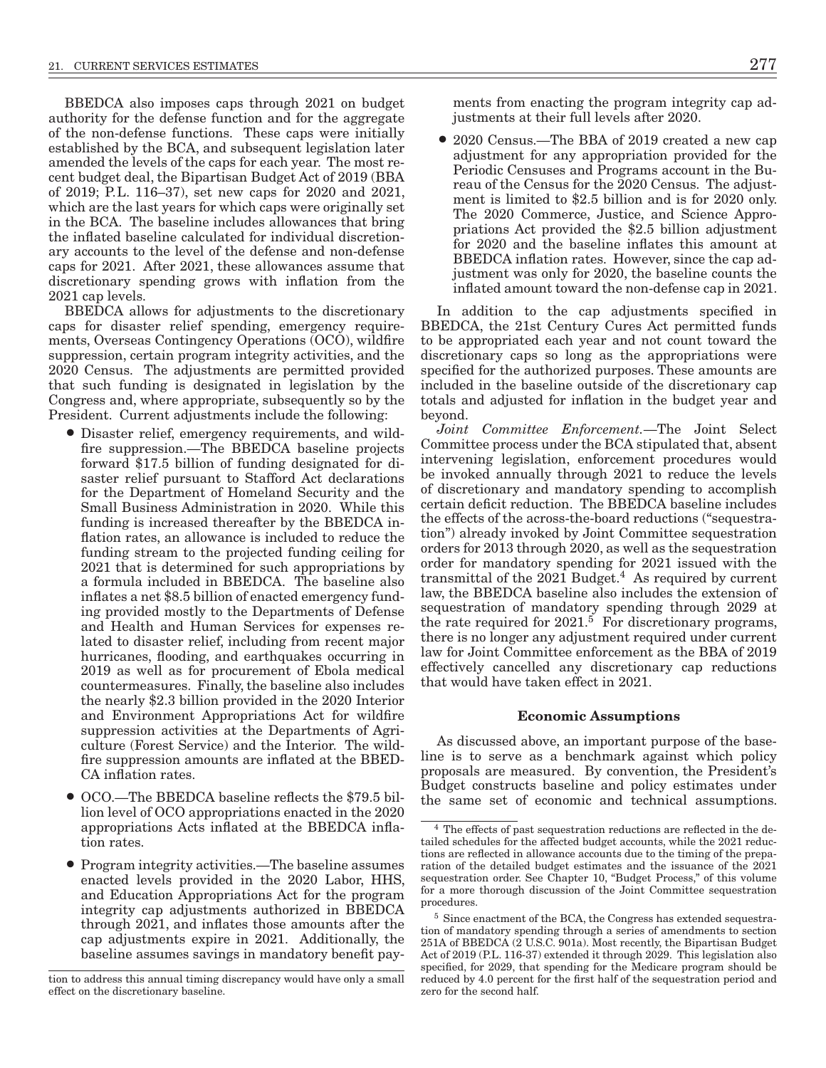BBEDCA also imposes caps through 2021 on budget authority for the defense function and for the aggregate of the non-defense functions. These caps were initially established by the BCA, and subsequent legislation later amended the levels of the caps for each year. The most recent budget deal, the Bipartisan Budget Act of 2019 (BBA of 2019; P.L. 116–37), set new caps for 2020 and 2021, which are the last years for which caps were originally set in the BCA. The baseline includes allowances that bring the inflated baseline calculated for individual discretionary accounts to the level of the defense and non-defense caps for 2021. After 2021, these allowances assume that discretionary spending grows with inflation from the 2021 cap levels.

BBEDCA allows for adjustments to the discretionary caps for disaster relief spending, emergency requirements, Overseas Contingency Operations (OCO), wildfire suppression, certain program integrity activities, and the 2020 Census. The adjustments are permitted provided that such funding is designated in legislation by the Congress and, where appropriate, subsequently so by the President. Current adjustments include the following:

- Disaster relief, emergency requirements, and wildfire suppression.—The BBEDCA baseline projects forward \$17.5 billion of funding designated for disaster relief pursuant to Stafford Act declarations for the Department of Homeland Security and the Small Business Administration in 2020. While this funding is increased thereafter by the BBEDCA inflation rates, an allowance is included to reduce the funding stream to the projected funding ceiling for 2021 that is determined for such appropriations by a formula included in BBEDCA. The baseline also inflates a net \$8.5 billion of enacted emergency funding provided mostly to the Departments of Defense and Health and Human Services for expenses related to disaster relief, including from recent major hurricanes, flooding, and earthquakes occurring in 2019 as well as for procurement of Ebola medical countermeasures. Finally, the baseline also includes the nearly \$2.3 billion provided in the 2020 Interior and Environment Appropriations Act for wildfire suppression activities at the Departments of Agriculture (Forest Service) and the Interior. The wildfire suppression amounts are inflated at the BBED-CA inflation rates.
- OCO.—The BBEDCA baseline reflects the \$79.5 billion level of OCO appropriations enacted in the 2020 appropriations Acts inflated at the BBEDCA inflation rates.
- Program integrity activities.—The baseline assumes enacted levels provided in the 2020 Labor, HHS, and Education Appropriations Act for the program integrity cap adjustments authorized in BBEDCA through 2021, and inflates those amounts after the cap adjustments expire in 2021. Additionally, the baseline assumes savings in mandatory benefit pay-

ments from enacting the program integrity cap adjustments at their full levels after 2020.

• 2020 Census.—The BBA of 2019 created a new cap adjustment for any appropriation provided for the Periodic Censuses and Programs account in the Bureau of the Census for the 2020 Census. The adjustment is limited to \$2.5 billion and is for 2020 only. The 2020 Commerce, Justice, and Science Appropriations Act provided the \$2.5 billion adjustment for 2020 and the baseline inflates this amount at BBEDCA inflation rates. However, since the cap adjustment was only for 2020, the baseline counts the inflated amount toward the non-defense cap in 2021.

In addition to the cap adjustments specified in BBEDCA, the 21st Century Cures Act permitted funds to be appropriated each year and not count toward the discretionary caps so long as the appropriations were specified for the authorized purposes. These amounts are included in the baseline outside of the discretionary cap totals and adjusted for inflation in the budget year and beyond.

*Joint Committee Enforcement.*—The Joint Select Committee process under the BCA stipulated that, absent intervening legislation, enforcement procedures would be invoked annually through 2021 to reduce the levels of discretionary and mandatory spending to accomplish certain deficit reduction. The BBEDCA baseline includes the effects of the across-the-board reductions ("sequestration") already invoked by Joint Committee sequestration orders for 2013 through 2020, as well as the sequestration order for mandatory spending for 2021 issued with the transmittal of the  $2021$  Budget.<sup>4</sup> As required by current law, the BBEDCA baseline also includes the extension of sequestration of mandatory spending through 2029 at the rate required for  $2021$ <sup>5</sup> For discretionary programs, there is no longer any adjustment required under current law for Joint Committee enforcement as the BBA of 2019 effectively cancelled any discretionary cap reductions that would have taken effect in 2021.

#### Economic Assumptions

As discussed above, an important purpose of the baseline is to serve as a benchmark against which policy proposals are measured. By convention, the President's Budget constructs baseline and policy estimates under the same set of economic and technical assumptions.

tion to address this annual timing discrepancy would have only a small effect on the discretionary baseline.

<sup>4</sup> The effects of past sequestration reductions are reflected in the detailed schedules for the affected budget accounts, while the 2021 reductions are reflected in allowance accounts due to the timing of the preparation of the detailed budget estimates and the issuance of the 2021 sequestration order. See Chapter 10, "Budget Process," of this volume for a more thorough discussion of the Joint Committee sequestration procedures.

 $^5$  Since enactment of the BCA, the Congress has extended sequestration of mandatory spending through a series of amendments to section 251A of BBEDCA (2 U.S.C. 901a). Most recently, the Bipartisan Budget Act of 2019 (P.L. 116-37) extended it through 2029. This legislation also specified, for 2029, that spending for the Medicare program should be reduced by 4.0 percent for the first half of the sequestration period and zero for the second half.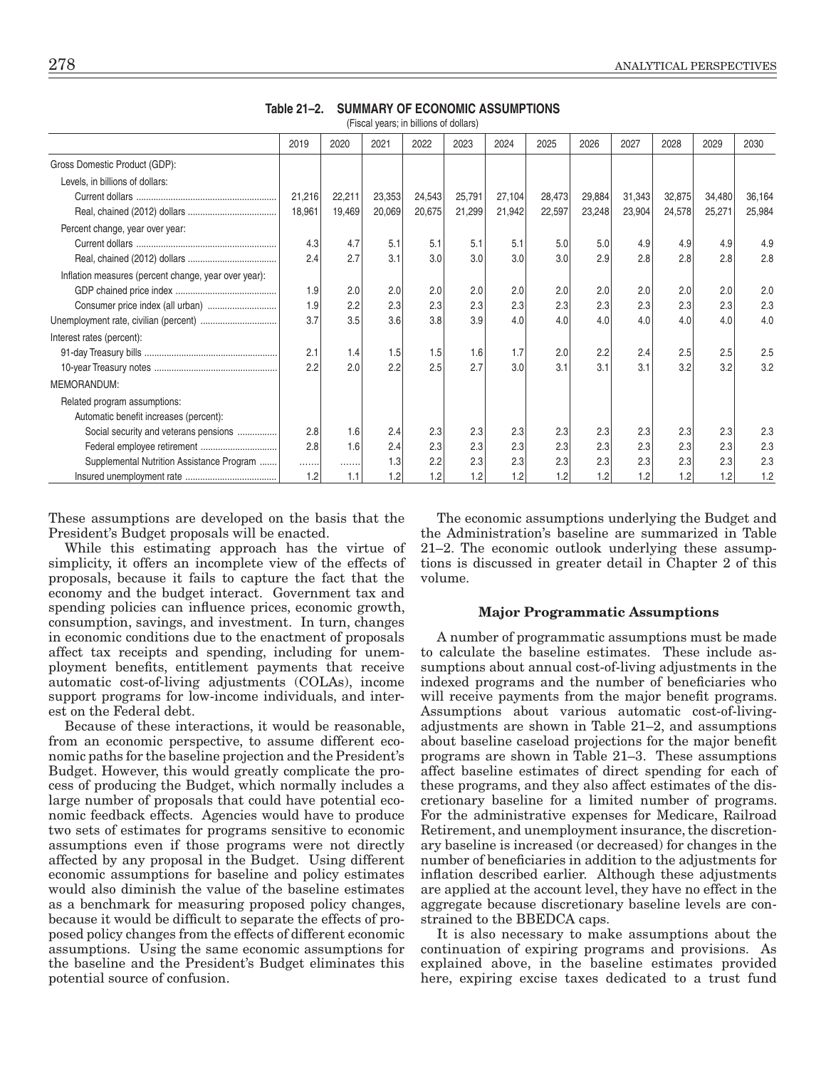|                                                      |        |        |        | (Fiscal years, in Diffions of Golden) |        |        |        |        |        |        |        |        |
|------------------------------------------------------|--------|--------|--------|---------------------------------------|--------|--------|--------|--------|--------|--------|--------|--------|
|                                                      | 2019   | 2020   | 2021   | 2022                                  | 2023   | 2024   | 2025   | 2026   | 2027   | 2028   | 2029   | 2030   |
| Gross Domestic Product (GDP):                        |        |        |        |                                       |        |        |        |        |        |        |        |        |
| Levels, in billions of dollars:                      |        |        |        |                                       |        |        |        |        |        |        |        |        |
|                                                      | 21,216 | 22,211 | 23,353 | 24,543                                | 25,791 | 27,104 | 28,473 | 29,884 | 31,343 | 32,875 | 34,480 | 36.164 |
|                                                      | 18,961 | 19,469 | 20,069 | 20,675                                | 21,299 | 21,942 | 22,597 | 23,248 | 23,904 | 24,578 | 25,271 | 25,984 |
| Percent change, year over year:                      |        |        |        |                                       |        |        |        |        |        |        |        |        |
|                                                      | 4.3    | 4.7    | 5.1    | 5.1                                   | 5.1    | 5.1    | 5.0    | 5.0    | 4.9    | 4.9    | 4.9    | 4.9    |
|                                                      | 2.4    | 2.7    | 3.1    | 3.0                                   | 3.0    | 3.0    | 3.0    | 2.9    | 2.8    | 2.8    | 2.8    | 2.8    |
| Inflation measures (percent change, year over year): |        |        |        |                                       |        |        |        |        |        |        |        |        |
|                                                      | 1.9    | 2.0    | 2.0    | 2.0                                   | 2.0    | 2.0    | 2.0    | 2.0    | 2.0    | 2.0    | 2.0    | 2.0    |
|                                                      | 1.9    | 2.2    | 2.3    | 2.3                                   | 2.3    | 2.3    | 2.3    | 2.3    | 2.3    | 2.3    | 2.3    | 2.3    |
|                                                      | 3.7    | 3.5    | 3.6    | 3.8                                   | 3.9    | 4.0    | 4.0    | 4.0    | 4.0    | 4.0    | 4.0    | 4.0    |
| Interest rates (percent):                            |        |        |        |                                       |        |        |        |        |        |        |        |        |
|                                                      | 2.1    | 1.4    | 1.5    | 1.5                                   | 1.6    | 1.7    | 2.0    | 2.2    | 2.4    | 2.5    | 2.5    | 2.5    |
|                                                      | 2.2    | 2.0    | 2.2    | 2.5                                   | 2.7    | 3.0    | 3.1    | 3.1    | 3.1    | 3.2    | 3.2    | 3.2    |
| MEMORANDUM:                                          |        |        |        |                                       |        |        |        |        |        |        |        |        |
| Related program assumptions:                         |        |        |        |                                       |        |        |        |        |        |        |        |        |
| Automatic benefit increases (percent):               |        |        |        |                                       |        |        |        |        |        |        |        |        |
| Social security and veterans pensions                | 2.8    | 1.6    | 2.4    | 2.3                                   | 2.3    | 2.3    | 2.3    | 2.3    | 2.3    | 2.3    | 2.3    | 2.3    |
|                                                      | 2.8    | 1.6    | 2.4    | 2.3                                   | 2.3    | 2.3    | 2.3    | 2.3    | 2.3    | 2.3    | 2.3    | 2.3    |
| Supplemental Nutrition Assistance Program            | .      | .      | 1.3    | 2.2                                   | 2.3    | 2.3    | 2.3    | 2.3    | 2.3    | 2.3    | 2.3    | 2.3    |
|                                                      | 1.2    | 1.1    | 1.2    | 1.2                                   | 1.2    | 1.2    | 1.2    | 1.2    | 1.2    | 1.2    | 1.2    | 1.2    |

| Table 21-2. SUMMARY OF ECONOMIC ASSUMPTIONS |
|---------------------------------------------|
| (Finnal voorer in hilliang of dollare)      |

These assumptions are developed on the basis that the President's Budget proposals will be enacted.

While this estimating approach has the virtue of simplicity, it offers an incomplete view of the effects of proposals, because it fails to capture the fact that the economy and the budget interact. Government tax and spending policies can influence prices, economic growth, consumption, savings, and investment. In turn, changes in economic conditions due to the enactment of proposals affect tax receipts and spending, including for unemployment benefits, entitlement payments that receive automatic cost-of-living adjustments (COLAs), income support programs for low-income individuals, and interest on the Federal debt.

Because of these interactions, it would be reasonable, from an economic perspective, to assume different economic paths for the baseline projection and the President's Budget. However, this would greatly complicate the process of producing the Budget, which normally includes a large number of proposals that could have potential economic feedback effects. Agencies would have to produce two sets of estimates for programs sensitive to economic assumptions even if those programs were not directly affected by any proposal in the Budget. Using different economic assumptions for baseline and policy estimates would also diminish the value of the baseline estimates as a benchmark for measuring proposed policy changes, because it would be difficult to separate the effects of proposed policy changes from the effects of different economic assumptions. Using the same economic assumptions for the baseline and the President's Budget eliminates this potential source of confusion.

The economic assumptions underlying the Budget and the Administration's baseline are summarized in Table 21–2. The economic outlook underlying these assumptions is discussed in greater detail in Chapter 2 of this volume.

#### **Major Programmatic Assumptions**

A number of programmatic assumptions must be made to calculate the baseline estimates. These include assumptions about annual cost-of-living adjustments in the indexed programs and the number of beneficiaries who will receive payments from the major benefit programs. Assumptions about various automatic cost-of-livingadjustments are shown in Table 21–2, and assumptions about baseline caseload projections for the major benefit programs are shown in Table 21-3. These assumptions affect baseline estimates of direct spending for each of these programs, and they also affect estimates of the discretionary baseline for a limited number of programs. For the administrative expenses for Medicare, Railroad Retirement, and unemployment insurance, the discretionary baseline is increased (or decreased) for changes in the number of beneficiaries in addition to the adjustments for inflation described earlier. Although these adjustments are applied at the account level, they have no effect in the aggregate because discretionary baseline levels are constrained to the BBEDCA caps.

It is also necessary to make assumptions about the continuation of expiring programs and provisions. As explained above, in the baseline estimates provided here, expiring excise taxes dedicated to a trust fund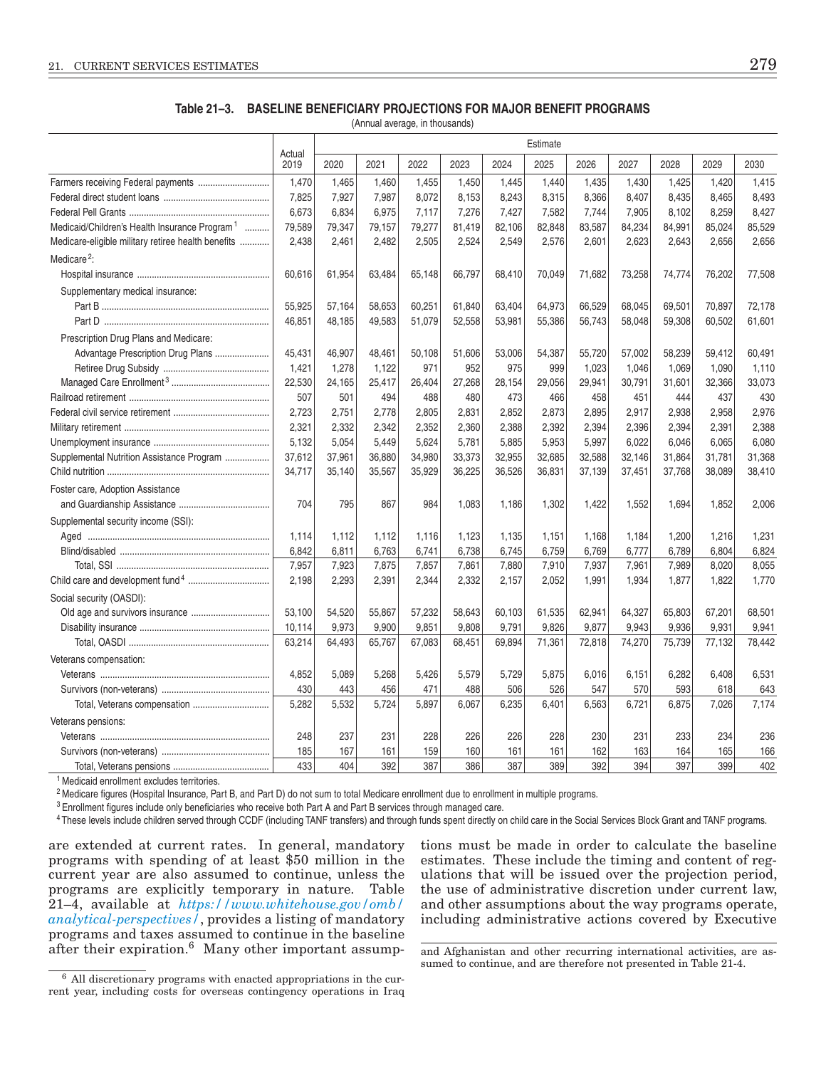#### Table 21-3. BASELINE BENEFICIARY PROJECTIONS FOR MAJOR BENEFIT PROGRAMS

(Annual average, in thousands)

|                                                           |                | Estimate |        |        |        |        |        |        |        |        |        |        |
|-----------------------------------------------------------|----------------|----------|--------|--------|--------|--------|--------|--------|--------|--------|--------|--------|
|                                                           | Actual<br>2019 | 2020     | 2021   | 2022   | 2023   | 2024   | 2025   | 2026   | 2027   | 2028   | 2029   | 2030   |
|                                                           | 1,470          | 1,465    | 1,460  | 1,455  | 1,450  | 1,445  | 1,440  | 1,435  | 1,430  | 1,425  | 1,420  | 1,415  |
|                                                           | 7,825          | 7,927    | 7,987  | 8,072  | 8,153  | 8,243  | 8,315  | 8,366  | 8,407  | 8,435  | 8,465  | 8,493  |
|                                                           | 6.673          | 6,834    | 6,975  | 7,117  | 7,276  | 7,427  | 7,582  | 7,744  | 7,905  | 8,102  | 8,259  | 8,427  |
| Medicaid/Children's Health Insurance Program <sup>1</sup> | 79,589         | 79,347   | 79,157 | 79,277 | 81,419 | 82,106 | 82,848 | 83,587 | 84,234 | 84,991 | 85,024 | 85,529 |
| Medicare-eligible military retiree health benefits        | 2,438          | 2,461    | 2,482  | 2,505  | 2,524  | 2,549  | 2,576  | 2,601  | 2,623  | 2,643  | 2,656  | 2,656  |
| Medicare <sup>2</sup> :                                   |                |          |        |        |        |        |        |        |        |        |        |        |
|                                                           | 60,616         | 61,954   | 63,484 | 65,148 | 66,797 | 68,410 | 70,049 | 71,682 | 73,258 | 74,774 | 76,202 | 77,508 |
| Supplementary medical insurance:                          |                |          |        |        |        |        |        |        |        |        |        |        |
|                                                           | 55,925         | 57,164   | 58,653 | 60,251 | 61,840 | 63,404 | 64,973 | 66,529 | 68,045 | 69,501 | 70,897 | 72,178 |
|                                                           | 46,851         | 48,185   | 49,583 | 51,079 | 52,558 | 53,981 | 55,386 | 56,743 | 58,048 | 59,308 | 60,502 | 61,601 |
| Prescription Drug Plans and Medicare:                     |                |          |        |        |        |        |        |        |        |        |        |        |
| Advantage Prescription Drug Plans                         | 45,431         | 46,907   | 48,461 | 50,108 | 51,606 | 53,006 | 54,387 | 55,720 | 57,002 | 58,239 | 59,412 | 60,491 |
|                                                           | 1.421          | 1,278    | 1,122  | 971    | 952    | 975    | 999    | 1,023  | 1,046  | 1,069  | 1.090  | 1,110  |
|                                                           | 22,530         | 24,165   | 25,417 | 26,404 | 27,268 | 28,154 | 29,056 | 29,941 | 30,791 | 31,601 | 32,366 | 33,073 |
|                                                           | 507            | 501      | 494    | 488    | 480    | 473    | 466    | 458    | 451    | 444    | 437    | 430    |
|                                                           | 2,723          | 2,751    | 2,778  | 2,805  | 2,831  | 2,852  | 2,873  | 2,895  | 2,917  | 2,938  | 2,958  | 2,976  |
|                                                           | 2,321          | 2,332    | 2,342  | 2,352  | 2,360  | 2,388  | 2,392  | 2,394  | 2,396  | 2,394  | 2,391  | 2,388  |
|                                                           | 5,132          | 5.054    | 5,449  | 5.624  | 5,781  | 5.885  | 5,953  | 5.997  | 6,022  | 6.046  | 6.065  | 6,080  |
| Supplemental Nutrition Assistance Program                 | 37,612         | 37,961   | 36,880 | 34,980 | 33,373 | 32,955 | 32,685 | 32,588 | 32,146 | 31,864 | 31,781 | 31,368 |
|                                                           | 34,717         | 35,140   | 35,567 | 35,929 | 36,225 | 36,526 | 36,831 | 37,139 | 37,451 | 37,768 | 38,089 | 38,410 |
| Foster care, Adoption Assistance                          |                |          |        |        |        |        |        |        |        |        |        |        |
|                                                           | 704            | 795      | 867    | 984    | 1,083  | 1.186  | 1.302  | 1,422  | 1,552  | 1,694  | 1.852  | 2,006  |
| Supplemental security income (SSI):                       |                |          |        |        |        |        |        |        |        |        |        |        |
|                                                           | 1.114          | 1.112    | 1,112  | 1,116  | 1,123  | 1.135  | 1.151  | 1.168  | 1,184  | 1,200  | 1,216  | 1,231  |
|                                                           | 6.842          | 6,811    | 6,763  | 6,741  | 6,738  | 6,745  | 6,759  | 6,769  | 6,777  | 6,789  | 6.804  | 6,824  |
|                                                           | 7,957          | 7,923    | 7,875  | 7,857  | 7,861  | 7.880  | 7,910  | 7,937  | 7,961  | 7,989  | 8,020  | 8,055  |
|                                                           | 2,198          | 2,293    | 2,391  | 2,344  | 2,332  | 2,157  | 2,052  | 1,991  | 1,934  | 1,877  | 1,822  | 1,770  |
| Social security (OASDI):                                  |                |          |        |        |        |        |        |        |        |        |        |        |
|                                                           | 53,100         | 54,520   | 55,867 | 57,232 | 58,643 | 60,103 | 61,535 | 62,941 | 64,327 | 65,803 | 67,201 | 68,501 |
|                                                           | 10,114         | 9.973    | 9,900  | 9.851  | 9.808  | 9.791  | 9.826  | 9.877  | 9.943  | 9.936  | 9.931  | 9,941  |
|                                                           | 63,214         | 64,493   | 65,767 | 67,083 | 68,451 | 69,894 | 71,361 | 72,818 | 74,270 | 75,739 | 77,132 | 78,442 |
| Veterans compensation:                                    |                |          |        |        |        |        |        |        |        |        |        |        |
|                                                           | 4,852          | 5,089    | 5,268  | 5,426  | 5,579  | 5,729  | 5,875  | 6,016  | 6,151  | 6,282  | 6,408  | 6,531  |
|                                                           | 430            | 443      | 456    | 471    | 488    | 506    | 526    | 547    | 570    | 593    | 618    | 643    |
| Total, Veterans compensation                              | 5,282          | 5,532    | 5,724  | 5,897  | 6,067  | 6,235  | 6,401  | 6,563  | 6,721  | 6,875  | 7,026  | 7,174  |
| Veterans pensions:                                        |                |          |        |        |        |        |        |        |        |        |        |        |
|                                                           | 248            | 237      | 231    | 228    | 226    | 226    | 228    | 230    | 231    | 233    | 234    | 236    |
|                                                           | 185            | 167      | 161    | 159    | 160    | 161    | 161    | 162    | 163    | 164    | 165    | 166    |
|                                                           | 433            | 404      | 392    | 387    | 386    | 387    | 389    | 392    | 394    | 397    | 399    | 402    |

<sup>1</sup> Medicaid enrollment excludes territories.

<sup>2</sup> Medicare figures (Hospital Insurance, Part B, and Part D) do not sum to total Medicare enrollment due to enrollment in multiple programs.

<sup>3</sup> Enrollment figures include only beneficiaries who receive both Part A and Part B services through managed care.

4 These levels include children served through CCDF (including TANF transfers) and through funds spent directly on child care in the Social Services Block Grant and TANF programs.

are extended at current rates. In general, mandatory programs with spending of at least \$50 million in the current year are also assumed to continue, unless the programs are explicitly temporary in nature. Table 21-4, available at https://www.whitehouse.gov/omb/  $analytical-perspecies$ , provides a listing of mandatory programs and taxes assumed to continue in the baseline<br>after their expiration.<sup>6</sup> Many other important assump-

tions must be made in order to calculate the baseline estimates. These include the timing and content of regulations that will be issued over the projection period, the use of administrative discretion under current law, and other assumptions about the way programs operate, including administrative actions covered by Executive

and Afghanistan and other recurring international activities, are assumed to continue, and are therefore not presented in Table 21-4.

 $6$  All discretionary programs with enacted appropriations in the current year, including costs for overseas contingency operations in Iraq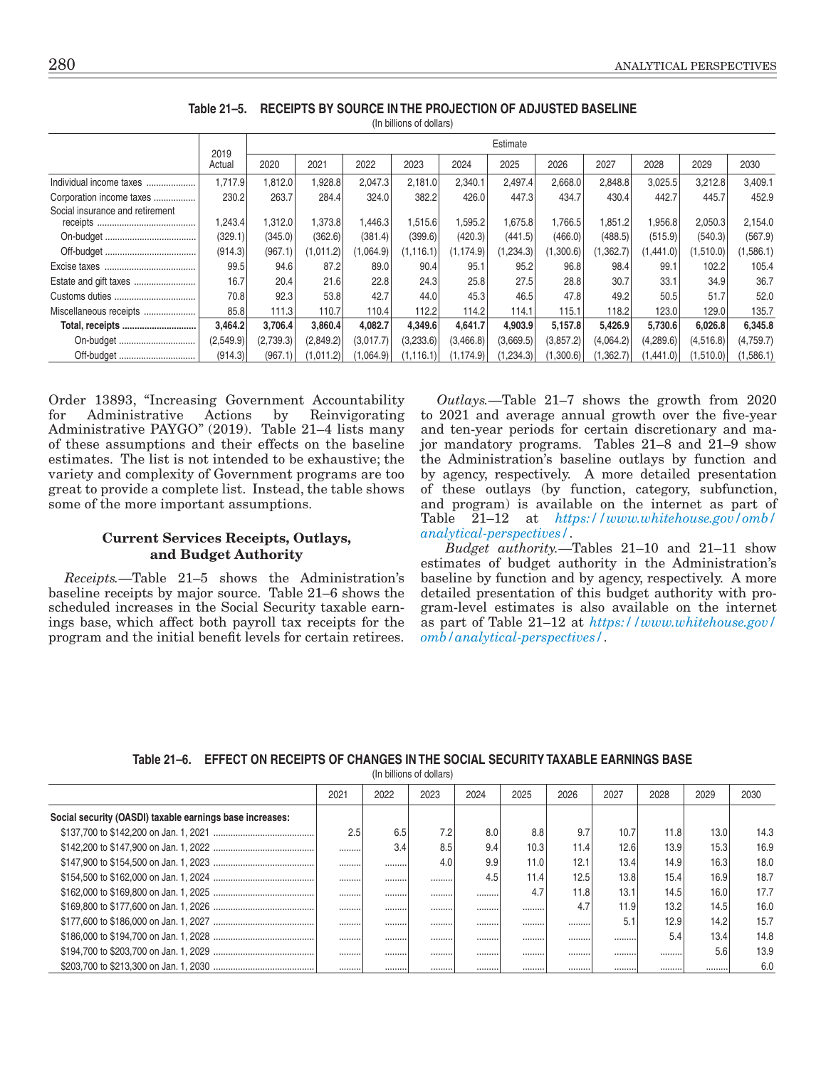| (III DIIIUIIS UI UUIIDIS)       |           |           |           |           |            |            |            |           |           |           |           |           |
|---------------------------------|-----------|-----------|-----------|-----------|------------|------------|------------|-----------|-----------|-----------|-----------|-----------|
|                                 | 2019      |           |           |           |            |            | Estimate   |           |           |           |           |           |
|                                 | Actual    | 2020      | 2021      | 2022      | 2023       | 2024       | 2025       | 2026      | 2027      | 2028      | 2029      | 2030      |
| Individual income taxes         | 1,717.9   | .812.0    | 28.8.8. ا | 2,047.3   | 2,181.0    | 2,340.1    | 2,497.4    | 2,668.0   | 2,848.8   | 3,025.5   | 3,212.8   | 3,409.1   |
| Corporation income taxes        | 230.2     | 263.7     | 284.4     | 324.0     | 382.2      | 426.0      | 447.3      | 434.7     | 430.4     | 442.7     | 445.7     | 452.9     |
| Social insurance and retirement | 1,243.4   | 1,312.0   | 1,373.8   | 1,446.3   | 1,515.6    | 1,595.2    | 1,675.8    | 1.766.5   | 1,851.2   | 1,956.8   | 2,050.3   | 2,154.0   |
|                                 | (329.1)   | (345.0)   | (362.6)   | (381.4)   | (399.6)    | (420.3)    | (441.5)    | (466.0)   | (488.5)   | (515.9)   | (540.3)   | (567.9)   |
|                                 | (914.3)   | (967.1)   | (1,011.2) | 1,064.9   | (1,116.1)  | (1,174.9)  | (1, 234.3) | 1,300.6)  | (1,362.7) | (1,441.0) | (1,510.0) | 1,586.1)  |
|                                 | 99.5      | 94.6      | 87.2      | 89.0      | 90.4       | 95.1       | 95.2       | 96.8      | 98.4      | 99.1      | 102.2     | 105.4     |
|                                 | 16.7      | 20.4      | 21.6      | 22.8      | 24.3       | 25.8       | 27.5       | 28.8      | 30.7      | 33.1      | 34.9      | 36.7      |
|                                 | 70.8      | 92.3      | 53.8      | 42.7      | 44.0       | 45.3       | 46.5       | 47.8      | 49.2      | 50.5      | 51.7      | 52.0      |
| Miscellaneous receipts          | 85.8      | 111.3     | 110.7     | 110.4     | 112.2      | 114.2      | 114.1      | 115.1     | 118.2     | 123.0     | 129.0     | 135.7     |
| Total, receipts                 | 3,464.2   | 3,706.4   | 3,860.4   | 4,082.7   | 4,349.6    | 4,641.7    | 4,903.9    | 5,157.8   | 5,426.9   | 5,730.6   | 6,026.8   | 6,345.8   |
|                                 | (2,549.9) | (2,739.3) | (2,849.2) | (3,017.7) | (3,233.6)  | (3,466.8)  | (3,669.5)  | (3,857.2) | (4,064.2) | (4,289.6) | (4,516.8) | (4,759.7) |
| Off-budget                      | (914.3)   | (967.1)   | (1,011.2) | (1,064.9) | (1, 116.1) | (1, 174.9) | (1,234.3)  | 1,300.6   | 1,362.7)  | (1,441.0) | (1,510.0) | 1,586.1)  |

#### Table 21-5. RECEIPTS BY SOURCE IN THE PROJECTION OF ADJUSTED BASELINE

Order 13893, "Increasing Government Accountability Administrative Actions by Reinvigorating for Administrative PAYGO" (2019). Table 21-4 lists many of these assumptions and their effects on the baseline estimates. The list is not intended to be exhaustive; the variety and complexity of Government programs are too great to provide a complete list. Instead, the table shows some of the more important assumptions.

#### **Current Services Receipts, Outlays,** and Budget Authority

Receipts.-Table 21-5 shows the Administration's baseline receipts by major source. Table 21-6 shows the scheduled increases in the Social Security taxable earnings base, which affect both payroll tax receipts for the program and the initial benefit levels for certain retirees.

Outlays.—Table 21–7 shows the growth from 2020 to 2021 and average annual growth over the five-year and ten-year periods for certain discretionary and major mandatory programs. Tables 21–8 and 21–9 show the Administration's baseline outlays by function and by agency, respectively. A more detailed presentation of these outlays (by function, category, subfunction, and program) is available on the internet as part of Table 21-12 at https://www.whitehouse.gov/omb/ analytical-perspectives/.

Budget authority.-Tables 21-10 and 21-11 show estimates of budget authority in the Administration's baseline by function and by agency, respectively. A more detailed presentation of this budget authority with program-level estimates is also available on the internet as part of Table 21-12 at https://www.whitehouse.gov/ omb/analytical-perspectives/.

# Table 21-6. EFFECT ON RECEIPTS OF CHANGES IN THE SOCIAL SECURITY TAXABLE EARNINGS BASE

(In billions of dollars)

|                                                          | 2021 | 2022 | 2023 | 2024 | 2025 | 2026 | 2027 | 2028 | 2029 | 2030 |
|----------------------------------------------------------|------|------|------|------|------|------|------|------|------|------|
| Social security (OASDI) taxable earnings base increases: |      |      |      |      |      |      |      |      |      |      |
|                                                          | 2.5  | 6.5  | 7.2  | 8.0  | 8.8  | 9.7  | 10.7 | 11.8 | 13.0 | 14.3 |
|                                                          |      | 3.4  | 8.5  | 9.4  | 10.3 | 11.4 | 12.6 | 13.9 | 15.3 | 16.9 |
|                                                          |      |      | 4.0  | 9.9  | 11.0 | 12.1 | 13.4 | 14.9 | 16.3 | 18.0 |
|                                                          |      |      |      | 4.5  | 11.4 | 12.5 | 13.8 | 15.4 | 16.9 | 18.7 |
|                                                          |      |      |      |      | 4.7  | 11.8 | 13.1 | 14.5 | 16.0 | 17.7 |
|                                                          |      |      |      |      |      | 4.7  | 11.9 | 13.2 | 14.5 | 16.0 |
|                                                          |      |      |      |      |      |      | 5.   | 12.9 | 14.2 | 15.7 |
|                                                          |      |      |      |      |      |      |      | 5.4  | 13.4 | 14.8 |
|                                                          |      |      |      |      |      |      |      |      | 5.6  | 13.9 |
|                                                          |      |      |      |      |      |      |      |      |      | 6(   |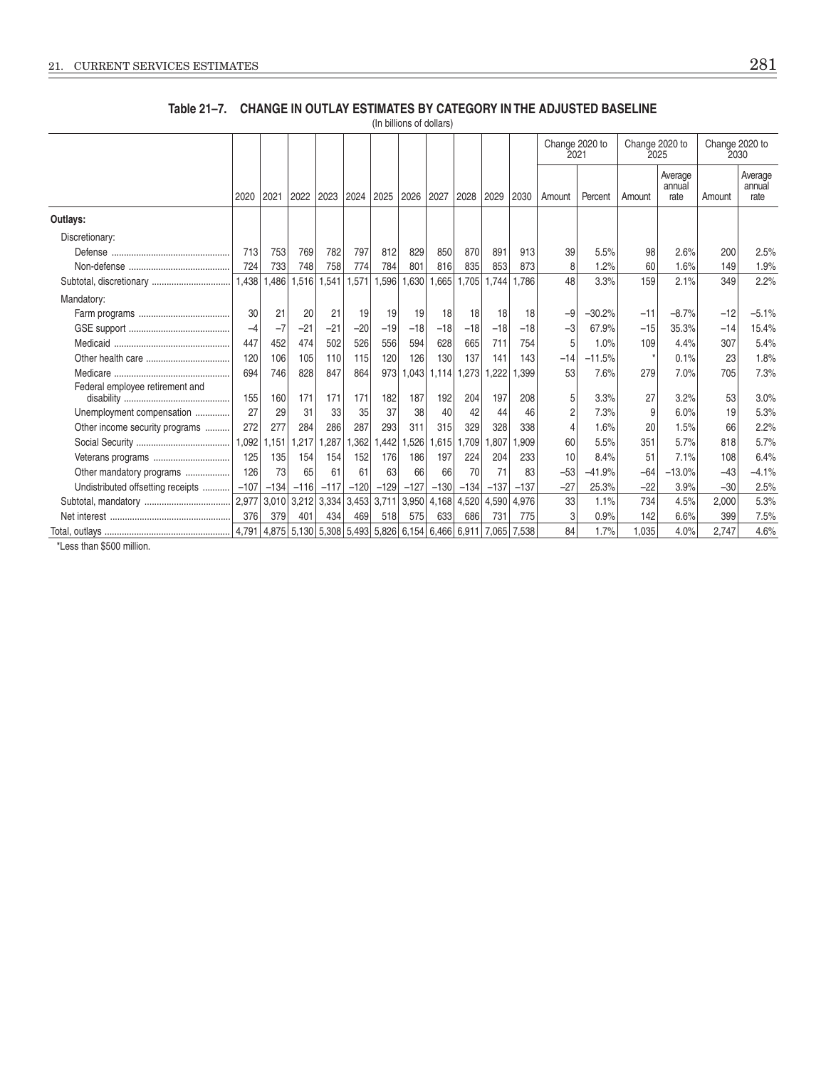|                                   |        |                                                                                       |        |        |        |        |        |        |        |        |        | Change 2020 to<br>2021 |          | Change 2020 to<br>2025 |                           | Change 2020 to<br>2030 |                           |
|-----------------------------------|--------|---------------------------------------------------------------------------------------|--------|--------|--------|--------|--------|--------|--------|--------|--------|------------------------|----------|------------------------|---------------------------|------------------------|---------------------------|
|                                   | 2020   | 2021                                                                                  | 2022   | 2023   | 2024   | 2025   | 2026   | 2027   | 2028   | 2029   | 2030   | Amount                 | Percent  | Amount                 | Average<br>annual<br>rate | Amount                 | Average<br>annual<br>rate |
| Outlays:                          |        |                                                                                       |        |        |        |        |        |        |        |        |        |                        |          |                        |                           |                        |                           |
| Discretionary:                    |        |                                                                                       |        |        |        |        |        |        |        |        |        |                        |          |                        |                           |                        |                           |
|                                   | 713    | 753                                                                                   | 769    | 782    | 797    | 812    | 829    | 850    | 870    | 891    | 913    | 39                     | 5.5%     | 98                     | 2.6%                      | 200                    | 2.5%                      |
|                                   | 724    | 733                                                                                   | 748    | 758    | 774    | 784    | 801    | 816    | 835    | 853    | 873    | 8                      | 1.2%     | 60                     | 1.6%                      | 149                    | 1.9%                      |
|                                   | 1,438  | .486                                                                                  | 1,516  | 1,541  | 1,571  | 1,596  | 1,630  | .665   | 1,705  | 1.744  | 1.786  | 48                     | 3.3%     | 159                    | 2.1%                      | 349                    | 2.2%                      |
| Mandatory:                        |        |                                                                                       |        |        |        |        |        |        |        |        |        |                        |          |                        |                           |                        |                           |
|                                   | 30     | 21                                                                                    | 20     | 21     | 19     | 19     | 19     | 18     | 18     | 18     | 18     | $-9$                   | $-30.2%$ | $-11$                  | $-8.7%$                   | $-12$                  | $-5.1%$                   |
|                                   | $-4$   | $-7$                                                                                  | $-21$  | $-21$  | $-20$  | $-19$  | $-18$  | $-18$  | $-18$  | $-18$  | $-18$  | $-3$                   | 67.9%    | $-15$                  | 35.3%                     | $-14$                  | 15.4%                     |
|                                   | 447    | 452                                                                                   | 474    | 502    | 526    | 556    | 594    | 628    | 665    | 711    | 754    | 5                      | 1.0%     | 109                    | 4.4%                      | 307                    | 5.4%                      |
|                                   | 120    | 106                                                                                   | 105    | 110    | 115    | 120    | 126    | 130    | 137    | 141    | 143    | $-14$                  | $-11.5%$ |                        | 0.1%                      | 23                     | 1.8%                      |
|                                   | 694    | 746                                                                                   | 828    | 847    | 864    | 973    | .043   | 1.114  | ,273   | ,222   | 1.399  | 53                     | 7.6%     | 279                    | 7.0%                      | 705                    | 7.3%                      |
| Federal employee retirement and   | 155    | 160                                                                                   | 171    | 171    | 171    | 182    | 187    | 192    | 204    | 197    | 208    |                        | 3.3%     | 27                     | 3.2%                      | 53                     | 3.0%                      |
| Unemployment compensation         | 27     | 29                                                                                    | 31     | 33     | 35     | 37     | 38     | 40     | 42     | 44     | 46     | 2                      | 7.3%     | 9                      | 6.0%                      | 19                     | 5.3%                      |
| Other income security programs    | 272    | 277                                                                                   | 284    | 286    | 287    | 293    | 311    | 315    | 329    | 328    | 338    |                        | 1.6%     | 20                     | 1.5%                      | 66                     | 2.2%                      |
|                                   | .092   | .151                                                                                  | 1,217  | 1,287  | ,362   | .442   | ,526   | .615   | 1,709  | 1,807  | 1.909  | 60                     | 5.5%     | 351                    | 5.7%                      | 818                    | 5.7%                      |
|                                   | 125    | 135                                                                                   | 154    | 154    | 152    | 176    | 186    | 197    | 224    | 204    | 233    | 10                     | 8.4%     | 51                     | 7.1%                      | 108                    | 6.4%                      |
| Other mandatory programs          | 126    | 73                                                                                    | 65     | 61     | 61     | 63     | 66     | 66     | 70     | 71     | 83     | $-53$                  | $-41.9%$ | $-64$                  | $-13.0%$                  | $-43$                  | $-4.1%$                   |
| Undistributed offsetting receipts | $-107$ | $-134$                                                                                | $-116$ | $-117$ | $-120$ | $-129$ | $-127$ | $-130$ | $-134$ | $-137$ | $-137$ | $-27$                  | 25.3%    | $-22$                  | 3.9%                      | $-30$                  | 2.5%                      |
|                                   | 2,977  | 3,010                                                                                 | 3,212  | 3,334  | 3,453  | 3,711  | 3,950  | 4,168  | 4,520  | 4,590  | 4,976  | 33                     | 1.1%     | 734                    | 4.5%                      | 2,000                  | 5.3%                      |
|                                   | 376    | 379                                                                                   | 401    | 434    | 469    | 518    | 575    | 633    | 686    | 731    | 775    | 3                      | 0.9%     | 142                    | 6.6%                      | 399                    | 7.5%                      |
|                                   |        | 4,791   4,875   5,130   5,308   5,493   5,826   6,154   6,466   6,911   7,065   7,538 |        |        |        |        |        |        |        |        |        | 84                     | 1.7%     | 1,035                  | 4.0%                      | 2.747                  | 4.6%                      |

## Table 21-7. CHANGE IN OUTLAY ESTIMATES BY CATEGORY IN THE ADJUSTED BASELINE

(In billions of dollars)

 $\frac{10000}{\text{•}$  Less than \$500 million.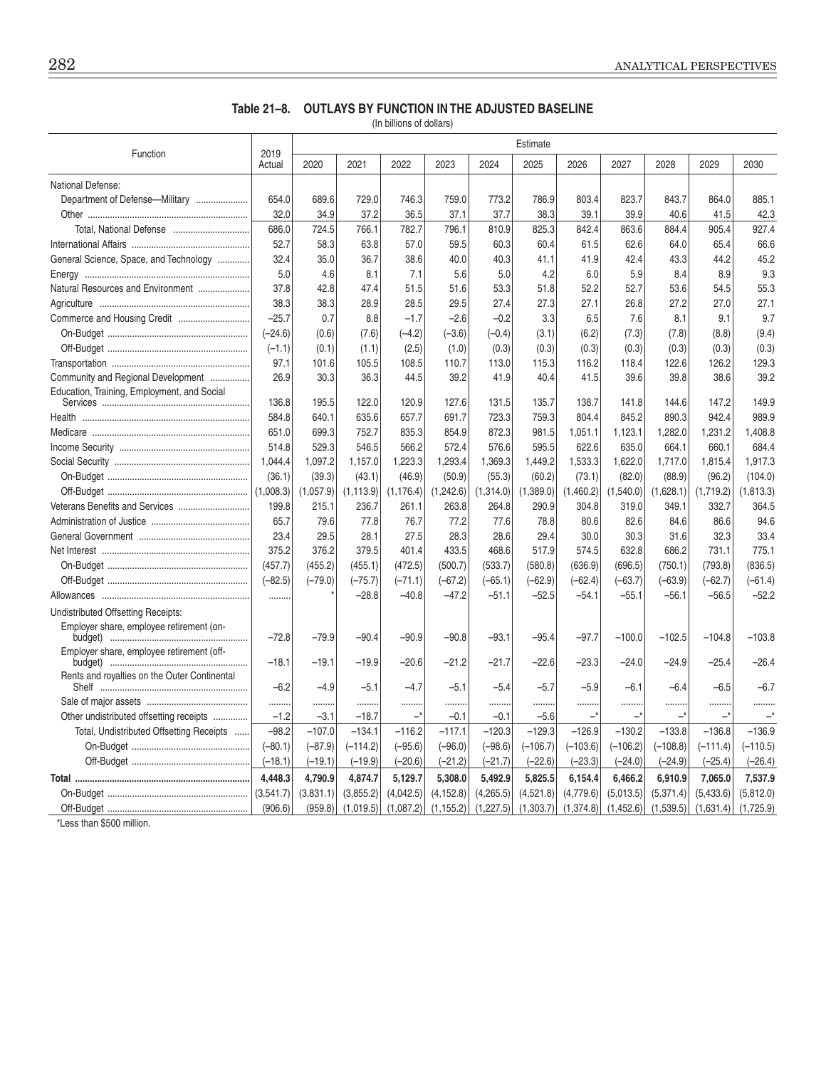# Table 21-8. OUTLAYS BY FUNCTION IN THE ADJUSTED BASELINE

(In billions of dollars)

|                                              |                |           |            |            |            |            | Estimate   |            |                          |            |                            |            |
|----------------------------------------------|----------------|-----------|------------|------------|------------|------------|------------|------------|--------------------------|------------|----------------------------|------------|
| Function                                     | 2019<br>Actual | 2020      | 2021       | 2022       | 2023       | 2024       | 2025       | 2026       | 2027                     | 2028       | 2029                       | 2030       |
| National Defense:                            |                |           |            |            |            |            |            |            |                          |            |                            |            |
| Department of Defense-Military               | 654.0          | 689.6     | 729.0      | 746.3      | 759.0      | 773.2      | 786.9      | 803.4      | 823.7                    | 843.7      | 864.0                      | 885.1      |
|                                              | 32.0           | 34.9      | 37.2       | 36.5       | 37.1       | 37.7       | 38.3       | 39.1       | 39.9                     | 40.6       | 41.5                       | 42.3       |
|                                              | 686.0          | 724.5     | 766.1      | 782.7      | 796.1      | 810.9      | 825.3      | 842.4      | 863.6                    | 884.4      | 905.4                      | 927.4      |
|                                              | 52.7           | 58.3      | 63.8       | 57.0       | 59.5       | 60.3       | 60.4       | 61.5       | 62.6                     | 64.0       | 65.4                       | 66.6       |
| General Science, Space, and Technology       | 32.4           | 35.0      | 36.7       | 38.6       | 40.0       | 40.3       | 41.1       | 41.9       | 42.4                     | 43.3       | 44.2                       | 45.2       |
|                                              | 5.0            | 4.6       | 8.1        | 7.1        | 5.6        | 5.0        | 4.2        | 6.0        | 5.9                      | 8.4        | 8.9                        | 9.3        |
| Natural Resources and Environment            | 37.8           | 42.8      | 47.4       | 51.5       | 51.6       | 53.3       | 51.8       | 52.2       | 52.7                     | 53.6       | 54.5                       | 55.3       |
|                                              | 38.3           | 38.3      | 28.9       | 28.5       | 29.5       | 27.4       | 27.3       | 27.1       | 26.8                     | 27.2       | 27.0                       | 27.1       |
|                                              | $-25.7$        | 0.7       | 8.8        | $-1.7$     | $-2.6$     | $-0.2$     | 3.3        | 6.5        | 7.6                      | 8.1        | 9.1                        | 9.7        |
|                                              | $(-24.6)$      | (0.6)     | (7.6)      | $(-4.2)$   | $(-3.6)$   | $(-0.4)$   | (3.1)      | (6.2)      | (7.3)                    | (7.8)      | (8.8)                      | (9.4)      |
|                                              | $(-1.1)$       | (0.1)     | (1.1)      | (2.5)      | (1.0)      | (0.3)      | (0.3)      | (0.3)      | (0.3)                    | (0.3)      | (0.3)                      | (0.3)      |
|                                              | 97.1           | 101.6     | 105.5      | 108.5      | 110.7      | 113.0      | 115.3      | 116.2      | 118.4                    | 122.6      | 126.2                      | 129.3      |
| Community and Regional Development           | 26.9           | 30.3      | 36.3       | 44.5       | 39.2       | 41.9       | 40.4       | 41.5       | 39.6                     | 39.8       | 38.6                       | 39.2       |
| Education, Training, Employment, and Social  |                |           |            |            |            |            |            |            |                          |            |                            |            |
|                                              | 136.8          | 195.5     | 122.0      | 120.9      | 127.6      | 131.5      | 135.7      | 138.7      | 141.8                    | 144.6      | 147.2                      | 149.9      |
|                                              | 584.8          | 640.1     | 635.6      | 657.7      | 691.7      | 723.3      | 759.3      | 804.4      | 845.2                    | 890.3      | 942.4                      | 989.9      |
|                                              | 651.0          | 699.3     | 752.7      | 835.3      | 854.9      | 872.3      | 981.5      | 1,051.1    | 1,123.1                  | 1,282.0    | 1,231.2                    | 1,408.8    |
|                                              | 514.8          | 529.3     | 546.5      | 566.2      | 572.4      | 576.6      | 595.5      | 622.6      | 635.0                    | 664.1      | 660.1                      | 684.4      |
|                                              | 1,044.4        | 1,097.2   | 1,157.0    | 1,223.3    | 1,293.4    | 1,369.3    | 1,449.2    | 1,533.3    | 1,622.0                  | 1,717.0    | 1,815.4                    | 1,917.3    |
|                                              | (36.1)         | (39.3)    | (43.1)     | (46.9)     | (50.9)     | (55.3)     | (60.2)     | (73.1)     | (82.0)                   | (88.9)     | (96.2)                     | (104.0)    |
|                                              | (1,008.3)      | (1,057.9) | (1, 113.9) | (1, 176.4) | (1,242.6)  | (1,314.0)  | (1,389.0)  | (1,460.2)  | (1,540.0)                | (1,628.1)  | (1,719.2)                  | (1,813.3)  |
| Veterans Benefits and Services               | 199.8          | 215.1     | 236.7      | 261.1      | 263.8      | 264.8      | 290.9      | 304.8      | 319.0                    | 349.1      | 332.7                      | 364.5      |
|                                              | 65.7           | 79.6      | 77.8       | 76.7       | 77.2       | 77.6       | 78.8       | 80.6       | 82.6                     | 84.6       | 86.6                       | 94.6       |
|                                              | 23.4           | 29.5      | 28.1       | 27.5       | 28.3       | 28.6       | 29.4       | 30.0       | 30.3                     | 31.6       | 32.3                       | 33.4       |
|                                              | 375.2          | 376.2     | 379.5      | 401.4      | 433.5      | 468.6      | 517.9      | 574.5      | 632.8                    | 686.2      | 731.1                      | 775.1      |
|                                              | (457.7)        | (455.2)   | (455.1)    | (472.5)    | (500.7)    | (533.7)    | (580.8)    | (636.9)    | (696.5)                  | (750.1)    | (793.8)                    | (836.5)    |
|                                              | $(-82.5)$      | $(-79.0)$ | $(-75.7)$  | $(-71.1)$  | $(-67.2)$  | $(-65.1)$  | $(-62.9)$  | $(-62.4)$  | $(-63.7)$                | $(-63.9)$  | $(-62.7)$                  | $(-61.4)$  |
|                                              | .              |           | $-28.8$    | $-40.8$    | $-47.2$    | $-51.1$    | $-52.5$    | $-54.1$    | $-55.1$                  | $-56.1$    | $-56.5$                    | $-52.2$    |
| Undistributed Offsetting Receipts:           |                |           |            |            |            |            |            |            |                          |            |                            |            |
| Employer share, employee retirement (on-     | $-72.8$        | $-79.9$   | $-90.4$    | $-90.9$    | $-90.8$    | $-93.1$    | $-95.4$    | $-97.7$    | $-100.0$                 | $-102.5$   | $-104.8$                   | $-103.8$   |
| Employer share, employee retirement (off-    | $-18.1$        | $-19.1$   | $-19.9$    | $-20.6$    | $-21.2$    | $-21.7$    | $-22.6$    | $-23.3$    | $-24.0$                  | $-24.9$    | $-25.4$                    | $-26.4$    |
| Rents and royalties on the Outer Continental | $-6.2$         | $-4.9$    | $-5.1$     | $-4.7$     | $-5.1$     | $-5.4$     | $-5.7$     | $-5.9$     | $-6.1$                   | $-6.4$     | $-6.5$                     | $-6.7$     |
|                                              | .              | .         | .          | .          | .          | .          | .          | .          | .                        | .          | .                          |            |
| Other undistributed offsetting receipts      | $-1.2$         | $-3.1$    | $-18.7$    | ئے۔        | $-0.1$     | $-0.1$     | $-5.6$     | '_'        | $\overline{\phantom{a}}$ |            | $\overline{\phantom{a}}^*$ | $-*$       |
| Total, Undistributed Offsetting Receipts     | $-98.2$        | $-107.0$  | $-134.1$   | $-116.2$   | $-117.1$   | $-120.3$   | $-129.3$   | $-126.9$   | $-130.2$                 | $-133.8$   | $-136.8$                   | $-136.9$   |
|                                              | $(-80.1)$      | $(-87.9)$ | $(-114.2)$ | $(-95.6)$  | $(-96.0)$  | $(-98.6)$  | $(-106.7)$ | $(-103.6)$ | $(-106.2)$               | $(-108.8)$ | $(-111.4)$                 | $(-110.5)$ |
|                                              | $(-18.1)$      | $(-19.1)$ | $(-19.9)$  | $(-20.6)$  | $(-21.2)$  | $(-21.7)$  | $(-22.6)$  | $(-23.3)$  | $(-24.0)$                | $(-24.9)$  | $(-25.4)$                  | $(-26.4)$  |
|                                              | 4,448.3        | 4,790.9   | 4,874.7    | 5,129.7    | 5,308.0    | 5,492.9    | 5,825.5    | 6,154.4    | 6,466.2                  | 6,910.9    | 7,065.0                    | 7,537.9    |
|                                              | (3,541.7)      | (3,831.1) | (3,855.2)  | (4,042.5)  | (4, 152.8) | (4,265.5)  | (4,521.8)  | (4,779.6)  | (5,013.5)                | (5,371.4)  | (5,433.6)                  | (5,812.0)  |
|                                              | (906.6)        | (959.8)   | (1,019.5)  | (1,087.2)  | (1, 155.2) | (1, 227.5) | (1,303.7)  | (1,374.8)  | (1,452.6)                | (1,539.5)  | (1,631.4)                  | (1,725.9)  |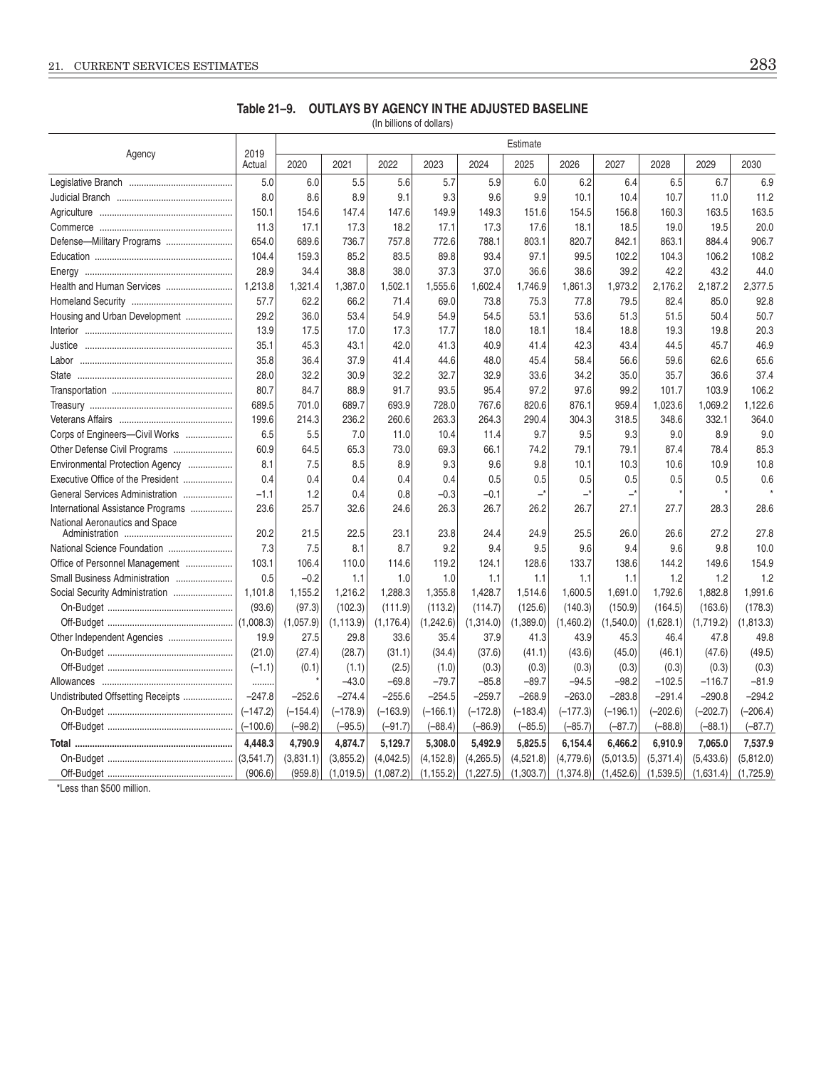## Table 21-9. OUTLAYS BY AGENCY IN THE ADJUSTED BASELINE

| (In billions of dollars) |  |
|--------------------------|--|
|--------------------------|--|

|                                   |                      | Estimate             |                        |                        |                          |                        |                        |                        |                            |                        |                        |                        |
|-----------------------------------|----------------------|----------------------|------------------------|------------------------|--------------------------|------------------------|------------------------|------------------------|----------------------------|------------------------|------------------------|------------------------|
| Agency                            | 2019<br>Actual       | 2020                 | 2021                   | 2022                   | 2023                     | 2024                   | 2025                   | 2026                   | 2027                       | 2028                   | 2029                   | 2030                   |
|                                   | 5.0                  | 6.0                  | 5.5                    | 5.6                    | 5.7                      | 5.9                    | 6.0                    | 6.2                    | 6.4                        | 6.5                    | 6.7                    | 6.9                    |
|                                   | 8.0                  | 8.6                  | 8.9                    | 9.1                    | 9.3                      | 9.6                    | 9.9                    | 10.1                   | 10.4                       | 10.7                   | 11.0                   | 11.2                   |
|                                   | 150.1                | 154.6                | 147.4                  | 147.6                  | 149.9                    | 149.3                  | 151.6                  | 154.5                  | 156.8                      | 160.3                  | 163.5                  | 163.5                  |
|                                   | 11.3                 | 17.1                 | 17.3                   | 18.2                   | 17.1                     | 17.3                   | 17.6                   | 18.1                   | 18.5                       | 19.0                   | 19.5                   | 20.0                   |
| Defense-Military Programs         | 654.0                | 689.6                | 736.7                  | 757.8                  | 772.6                    | 788.1                  | 803.1                  | 820.7                  | 842.1                      | 863.1                  | 884.4                  | 906.7                  |
|                                   | 104.4                | 159.3                | 85.2                   | 83.5                   | 89.8                     | 93.4                   | 97.1                   | 99.5                   | 102.2                      | 104.3                  | 106.2                  | 108.2                  |
| Energy                            | 28.9                 | 34.4                 | 38.8                   | 38.0                   | 37.3                     | 37.0                   | 36.6                   | 38.6                   | 39.2                       | 42.2                   | 43.2                   | 44.0                   |
| Health and Human Services         | 1,213.8              | 1,321.4              | 1,387.0                | 1,502.1                | 1,555.6                  | 1,602.4                | 1,746.9                | 1,861.3                | 1,973.2                    | 2,176.2                | 2,187.2                | 2,377.5                |
|                                   | 57.7                 | 62.2                 | 66.2                   | 71.4                   | 69.0                     | 73.8                   | 75.3                   | 77.8                   | 79.5                       | 82.4                   | 85.0                   | 92.8                   |
| Housing and Urban Development     | 29.2                 | 36.0                 | 53.4                   | 54.9                   | 54.9                     | 54.5                   | 53.1                   | 53.6                   | 51.3                       | 51.5                   | 50.4                   | 50.7                   |
|                                   | 13.9                 | 17.5                 | 17.0                   | 17.3                   | 17.7                     | 18.0                   | 18.1                   | 18.4                   | 18.8                       | 19.3                   | 19.8                   | 20.3                   |
| Justice                           | 35.1                 | 45.3                 | 43.1                   | 42.0                   | 41.3                     | 40.9                   | 41.4                   | 42.3                   | 43.4                       | 44.5                   | 45.7                   | 46.9                   |
|                                   | 35.8                 | 36.4                 | 37.9                   | 41.4                   | 44.6                     | 48.0                   | 45.4                   | 58.4                   | 56.6                       | 59.6                   | 62.6                   | 65.6                   |
|                                   | 28.0                 | 32.2                 | 30.9                   | 32.2                   | 32.7                     | 32.9                   | 33.6                   | 34.2                   | 35.0                       | 35.7                   | 36.6                   | 37.4                   |
|                                   | 80.7                 | 84.7                 | 88.9                   | 91.7                   | 93.5                     | 95.4                   | 97.2                   | 97.6                   | 99.2                       | 101.7                  | 103.9                  | 106.2                  |
|                                   | 689.5                | 701.0                | 689.7                  | 693.9                  | 728.0                    | 767.6                  | 820.6                  | 876.1                  | 959.4                      | 1,023.6                | 1,069.2                | 1,122.6                |
|                                   | 199.6                | 214.3                | 236.2                  | 260.6                  | 263.3                    | 264.3                  | 290.4                  | 304.3                  | 318.5                      | 348.6                  | 332.1                  | 364.0                  |
| Corps of Engineers-Civil Works    | 6.5                  | 5.5                  | 7.0                    | 11.0                   | 10.4                     | 11.4                   | 9.7                    | 9.5                    | 9.3                        | 9.0                    | 8.9                    | 9.0                    |
| Other Defense Civil Programs      | 60.9                 | 64.5                 | 65.3                   | 73.0                   | 69.3                     | 66.1                   | 74.2                   | 79.1                   | 79.1                       | 87.4                   | 78.4                   | 85.3                   |
| Environmental Protection Agency   | 8.1                  | 7.5                  | 8.5                    | 8.9                    | 9.3                      | 9.6                    | 9.8                    | 10.1                   | 10.3                       | 10.6                   | 10.9                   | 10.8                   |
| Executive Office of the President | 0.4                  | 0.4                  | 0.4                    | 0.4                    | 0.4                      | 0.5                    | 0.5                    | 0.5                    | 0.5                        | 0.5                    | 0.5                    | 0.6                    |
| General Services Administration   | $-1.1$               | 1.2                  | 0.4                    | 0.8                    | $-0.3$                   | -0.1                   | $-$ *                  | $-^{\star}$            | $\overline{\phantom{0}}^*$ |                        |                        |                        |
| International Assistance Programs | 23.6                 | 25.7                 | 32.6                   | 24.6                   | 26.3                     | 26.7                   | 26.2                   | 26.7                   | 27.1                       | 27.7                   | 28.3                   | 28.6                   |
| National Aeronautics and Space    |                      |                      |                        |                        |                          |                        |                        |                        |                            |                        |                        |                        |
|                                   | 20.2                 | 21.5                 | 22.5                   | 23.1                   | 23.8                     | 24.4                   | 24.9                   | 25.5                   | 26.0                       | 26.6                   | 27.2                   | 27.8                   |
| National Science Foundation       | 7.3                  | 7.5                  | 8.1                    | 8.7                    | 9.2                      | 9.4                    | 9.5                    | 9.6                    | 9.4                        | 9.6                    | 9.8                    | 10.0                   |
| Office of Personnel Management    | 103.1                | 106.4                | 110.0                  | 114.6                  | 119.2                    | 124.1                  | 128.6                  | 133.7                  | 138.6                      | 144.2                  | 149.6                  | 154.9                  |
| Small Business Administration     | 0.5                  | $-0.2$               | 1.1                    | 1.0                    | 1.0                      | 1.1                    | 1.1                    | 1.1                    | 1.1                        | 1.2                    | 1.2                    | 1.2                    |
| Social Security Administration    | 1,101.8              | 1,155.2              | 1,216.2                | 1,288.3                | 1,355.8                  | 1,428.7                | 1,514.6                | 1,600.5                | 1,691.0                    | 1,792.6                | 1,882.8                | 1,991.6                |
|                                   | (93.6)               | (97.3)               | (102.3)                | (111.9)                | (113.2)                  | (114.7)                | (125.6)                | (140.3)                | (150.9)                    | (164.5)                | (163.6)                | (178.3)                |
|                                   | 19.9                 | (1,057.9)<br>27.5    | (1, 113.9)<br>29.8     | (1, 176.4)             | (1,242.6)<br>35.4        | (1,314.0)<br>37.9      | (1,389.0)              | (1,460.2)<br>43.9      | (1,540.0)<br>45.3          | (1,628.1)              | (1,719.2)<br>47.8      | (1,813.3)<br>49.8      |
| Other Independent Agencies        | (21.0)               | (27.4)               | (28.7)                 | 33.6<br>(31.1)         | (34.4)                   | (37.6)                 | 41.3<br>(41.1)         | (43.6)                 | (45.0)                     | 46.4<br>(46.1)         | (47.6)                 | (49.5)                 |
|                                   | $(-1.1)$             | (0.1)                | (1.1)                  | (2.5)                  | (1.0)                    | (0.3)                  | (0.3)                  | (0.3)                  | (0.3)                      | (0.3)                  | (0.3)                  | (0.3)                  |
|                                   |                      |                      | $-43.0$                | $-69.8$                | $-79.7$                  | $-85.8$                | $-89.7$                | $-94.5$                | $-98.2$                    | $-102.5$               | $-116.7$               | $-81.9$                |
| Undistributed Offsetting Receipts | <br>$-247.8$         | $-252.6$             | $-274.4$               | $-255.6$               | $-254.5$                 | $-259.7$               | $-268.9$               | $-263.0$               | $-283.8$                   | $-291.4$               | $-290.8$               | $-294.2$               |
|                                   | $(-147.2)$           | $(-154.4)$           | $(-178.9)$             | $(-163.9)$             | $(-166.1)$               | $(-172.8)$             | $(-183.4)$             | $(-177.3)$             | $(-196.1)$                 | $(-202.6)$             | $(-202.7)$             | $(-206.4)$             |
|                                   | $(-100.6)$           | $(-98.2)$            | $(-95.5)$              | $(-91.7)$              | $(-88.4)$                | $(-86.9)$              | $(-85.5)$              | $(-85.7)$              | $(-87.7)$                  | $(-88.8)$              | $(-88.1)$              | $(-87.7)$              |
|                                   | 4.448.3              |                      |                        |                        |                          |                        |                        |                        |                            |                        |                        |                        |
|                                   |                      | 4,790.9              | 4,874.7                | 5,129.7                | 5,308.0                  | 5,492.9                | 5,825.5                | 6,154.4                | 6,466.2                    | 6,910.9                | 7,065.0                | 7,537.9                |
|                                   | (3,541.7)<br>(906.6) | (3,831.1)<br>(959.8) | (3,855.2)<br>(1,019.5) | (4,042.5)<br>(1,087.2) | (4, 152.8)<br>(1, 155.2) | (4,265.5)<br>(1,227.5) | (4,521.8)<br>(1,303.7) | (4,779.6)<br>(1,374.8) | (5,013.5)<br>(1,452.6)     | (5,371.4)<br>(1,539.5) | (5,433.6)<br>(1,631.4) | (5,812.0)<br>(1,725.9) |
|                                   |                      |                      |                        |                        |                          |                        |                        |                        |                            |                        |                        |                        |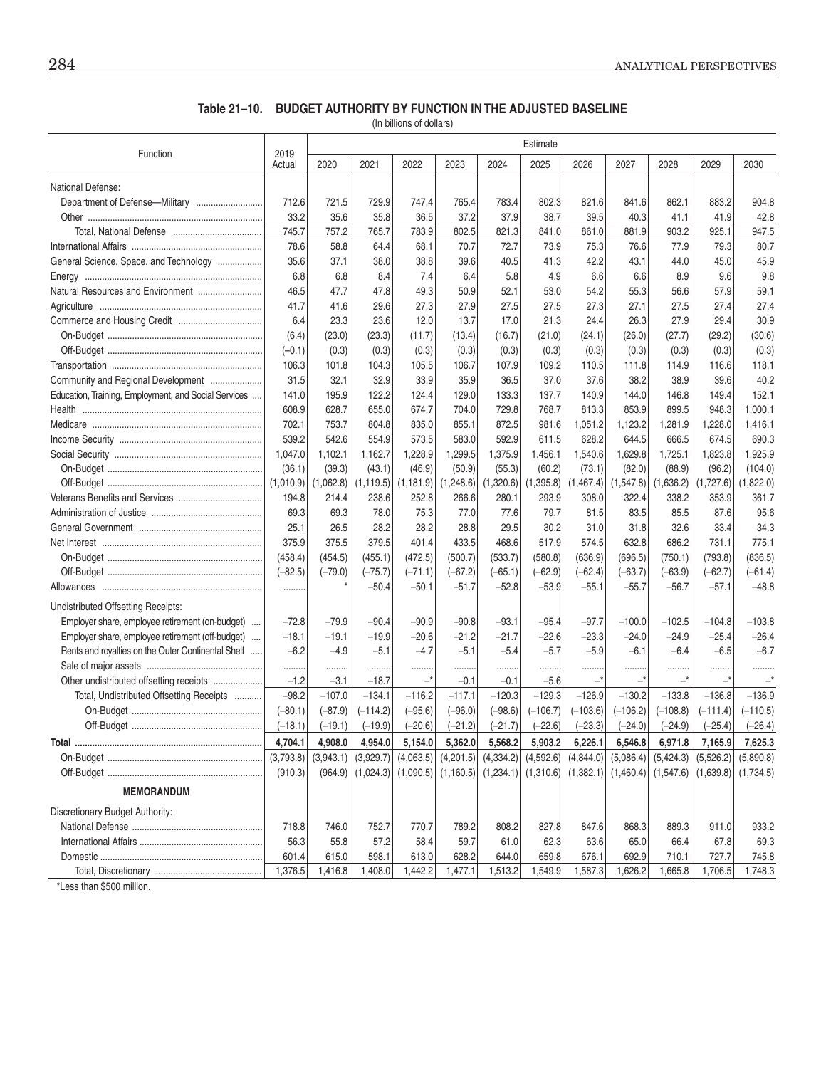# Table 21-10. BUDGET AUTHORITY BY FUNCTION IN THE ADJUSTED BASELINE

|  |  | (In billions of dollars) |
|--|--|--------------------------|
|--|--|--------------------------|

|                                                      | 2019      |           |            |            |            |           | Estimate                |            |            |                         |            |             |
|------------------------------------------------------|-----------|-----------|------------|------------|------------|-----------|-------------------------|------------|------------|-------------------------|------------|-------------|
| Function                                             | Actual    | 2020      | 2021       | 2022       | 2023       | 2024      | 2025                    | 2026       | 2027       | 2028                    | 2029       | 2030        |
| National Defense:                                    |           |           |            |            |            |           |                         |            |            |                         |            |             |
| Department of Defense-Military                       | 712.6     | 721.5     | 729.9      | 747.4      | 765.4      | 783.4     | 802.3                   | 821.6      | 841.6      | 862.1                   | 883.2      | 904.8       |
|                                                      | 33.2      | 35.6      | 35.8       | 36.5       | 37.2       | 37.9      | 38.7                    | 39.5       | 40.3       | 41.1                    | 41.9       | 42.8        |
|                                                      | 745.7     | 757.2     | 765.7      | 783.9      | 802.5      | 821.3     | 841.0                   | 861.0      | 881.9      | 903.2                   | 925.1      | 947.5       |
|                                                      | 78.6      | 58.8      | 64.4       | 68.1       | 70.7       | 72.7      | 73.9                    | 75.3       | 76.6       | 77.9                    | 79.3       | 80.7        |
| General Science, Space, and Technology               | 35.6      | 37.1      | 38.0       | 38.8       | 39.6       | 40.5      | 41.3                    | 42.2       | 43.1       | 44.0                    | 45.0       | 45.9        |
|                                                      | 6.8       | 6.8       | 8.4        | 7.4        | 6.4        | 5.8       | 4.9                     | 6.6        | 6.6        | 8.9                     | 9.6        | 9.8         |
|                                                      | 46.5      | 47.7      | 47.8       | 49.3       | 50.9       | 52.1      | 53.0                    | 54.2       | 55.3       | 56.6                    | 57.9       | 59.1        |
|                                                      | 41.7      | 41.6      | 29.6       | 27.3       | 27.9       | 27.5      | 27.5                    | 27.3       | 27.1       | 27.5                    | 27.4       | 27.4        |
|                                                      | 6.4       | 23.3      | 23.6       | 12.0       | 13.7       | 17.0      | 21.3                    | 24.4       | 26.3       | 27.9                    | 29.4       | 30.9        |
|                                                      | (6.4)     | (23.0)    | (23.3)     | (11.7)     | (13.4)     | (16.7)    | (21.0)                  | (24.1)     | (26.0)     | (27.7)                  | (29.2)     | (30.6)      |
|                                                      | $(-0.1)$  | (0.3)     | (0.3)      | (0.3)      | (0.3)      | (0.3)     | (0.3)                   | (0.3)      | (0.3)      | (0.3)                   | (0.3)      | (0.3)       |
|                                                      | 106.3     | 101.8     | 104.3      | 105.5      | 106.7      | 107.9     | 109.2                   | 110.5      | 111.8      | 114.9                   | 116.6      | 118.1       |
| Community and Regional Development                   | 31.5      | 32.1      | 32.9       | 33.9       | 35.9       | 36.5      | 37.0                    | 37.6       | 38.2       | 38.9                    | 39.6       | 40.2        |
| Education, Training, Employment, and Social Services | 141.0     | 195.9     | 122.2      | 124.4      | 129.0      | 133.3     | 137.7                   | 140.9      | 144.0      | 146.8                   | 149.4      | 152.1       |
|                                                      | 608.9     | 628.7     | 655.0      | 674.7      | 704.0      | 729.8     | 768.7                   | 813.3      | 853.9      | 899.5                   | 948.3      | 1,000.1     |
|                                                      | 702.1     | 753.7     | 804.8      | 835.0      | 855.1      | 872.5     | 981.6                   | 1,051.2    | 1,123.2    | 1,281.9                 | 1,228.0    | 1,416.1     |
|                                                      | 539.2     | 542.6     | 554.9      | 573.5      | 583.0      | 592.9     | 611.5                   | 628.2      | 644.5      | 666.5                   | 674.5      | 690.3       |
|                                                      | 1,047.0   | 1,102.1   | 1,162.7    | 1,228.9    | 1,299.5    | 1,375.9   | 1,456.1                 | 1,540.6    | 1,629.8    | 1,725.1                 | 1,823.8    | 1,925.9     |
|                                                      | (36.1)    | (39.3)    | (43.1)     | (46.9)     | (50.9)     | (55.3)    | (60.2)                  | (73.1)     | (82.0)     | (88.9)                  | (96.2)     | (104.0)     |
|                                                      | (1,010.9) | (1,062.8) | (1, 119.5) | (1, 181.9) | (1,248.6)  | (1,320.6) | (1,395.8)               | (1,467.4)  | (1, 547.8) | (1,636.2)               | (1,727.6)  | (1,822.0)   |
|                                                      | 194.8     | 214.4     | 238.6      | 252.8      | 266.6      | 280.1     | 293.9                   | 308.0      | 322.4      | 338.2                   | 353.9      | 361.7       |
|                                                      | 69.3      | 69.3      | 78.0       | 75.3       | 77.0       | 77.6      | 79.7                    | 81.5       | 83.5       | 85.5                    | 87.6       | 95.6        |
|                                                      | 25.1      | 26.5      | 28.2       | 28.2       | 28.8       | 29.5      | 30.2                    | 31.0       | 31.8       | 32.6                    | 33.4       | 34.3        |
|                                                      | 375.9     | 375.5     | 379.5      | 401.4      | 433.5      | 468.6     | 517.9                   | 574.5      | 632.8      | 686.2                   | 731.1      | 775.1       |
|                                                      | (458.4)   | (454.5)   | (455.1)    | (472.5)    | (500.7)    | (533.7)   | (580.8)                 | (636.9)    | (696.5)    | (750.1)                 | (793.8)    | (836.5)     |
|                                                      | $(-82.5)$ | $(-79.0)$ | $(-75.7)$  | $(-71.1)$  | $(-67.2)$  | (–65.1)   | $(-62.9)$               | $(-62.4)$  | (–63.7)    | $(-63.9)$               | $(-62.7)$  | $(-61.4)$   |
|                                                      | .         |           | $-50.4$    | $-50.1$    | $-51.7$    | $-52.8$   | $-53.9$                 | $-55.1$    | $-55.7$    | $-56.7$                 | $-57.1$    | $-48.8$     |
| Undistributed Offsetting Receipts:                   |           |           |            |            |            |           |                         |            |            |                         |            |             |
| Employer share, employee retirement (on-budget)      | $-72.8$   | $-79.9$   | $-90.4$    | $-90.9$    | $-90.8$    | $-93.1$   | $-95.4$                 | $-97.7$    | $-100.0$   | $-102.5$                | $-104.8$   | $-103.8$    |
| Employer share, employee retirement (off-budget)     | $-18.1$   | $-19.1$   | $-19.9$    | $-20.6$    | $-21.2$    | $-21.7$   | $-22.6$                 | $-23.3$    | $-24.0$    | $-24.9$                 | $-25.4$    | $-26.4$     |
| Rents and royalties on the Outer Continental Shelf   | $-6.2$    | $-4.9$    | $-5.1$     | $-4.7$     | $-5.1$     | $-5.4$    | $-5.7$                  | $-5.9$     | $-6.1$     | $-6.4$                  | $-6.5$     | $-6.7$      |
|                                                      | .         |           |            |            | .          |           |                         | .          |            | .                       |            | .           |
| Other undistributed offsetting receipts              | $-1.2$    | $-3.1$    | $-18.7$    | $-^*$      | $-0.1$     | $-0.1$    | $-5.6$                  | $-^*$      | $-^*$      | $-^{\star}$             | $-^*$      | $-^{\star}$ |
| Total, Undistributed Offsetting Receipts             | $-98.2$   | $-107.0$  | $-134.1$   | $-116.2$   | $-117.1$   | $-120.3$  | $-129.3$                | $-126.9$   | $-130.2$   | $-133.8$                | $-136.8$   | $-136.9$    |
|                                                      | $(-80.1)$ | $(-87.9)$ | $(-114.2)$ | $(-95.6)$  | $(-96.0)$  | $(-98.6)$ | $(-106.7)$              | $(-103.6)$ | $(-106.2)$ | $(-108.8)$              | $(-111.4)$ | $(-110.5)$  |
|                                                      | $(-18.1)$ | $(-19.1)$ | $(-19.9)$  | $(-20.6)$  | $(-21.2)$  | $(-21.7)$ | $(-22.6)$               | $(-23.3)$  | $(-24.0)$  | $(-24.9)$               | $(-25.4)$  | $(-26.4)$   |
| Total                                                | 4,704.1   | 4,908.0   | 4,954.0    | 5,154.0    | 5,362.0    | 5,568.2   | 5,903.2                 | 6,226.1    | 6,546.8    | 6,971.8                 | 7,165.9    | 7,625.3     |
|                                                      | (3,793.8) | (3,943.1) | (3,929.7)  | (4,063.5)  | (4,201.5)  | (4,334.2) | (4,592.6)               | (4,844.0)  | (5,086.4)  | (5,424.3)               | (5,526.2)  | (5,890.8)   |
|                                                      | (910.3)   | (964.9)   | (1,024.3)  | (1,090.5)  | (1, 160.5) |           | $(1,234.1)$ $(1,310.6)$ | (1,382.1)  |            | $(1,460.4)$ $(1,547.6)$ | (1,639.8)  | (1,734.5)   |
| <b>MEMORANDUM</b>                                    |           |           |            |            |            |           |                         |            |            |                         |            |             |
|                                                      |           |           |            |            |            |           |                         |            |            |                         |            |             |
| Discretionary Budget Authority:                      |           |           |            |            |            |           |                         |            |            |                         |            |             |
|                                                      | 718.8     | 746.0     | 752.7      | 770.7      | 789.2      | 808.2     | 827.8                   | 847.6      | 868.3      | 889.3                   | 911.0      | 933.2       |
|                                                      | 56.3      | 55.8      | 57.2       | 58.4       | 59.7       | 61.0      | 62.3                    | 63.6       | 65.0       | 66.4                    | 67.8       | 69.3        |
|                                                      | 601.4     | 615.0     | 598.1      | 613.0      | 628.2      | 644.0     | 659.8                   | 676.1      | 692.9      | 710.1                   | 727.7      | 745.8       |
|                                                      | 1,376.5   | 1,416.8   | 1,408.0    | 1,442.2    | 1,477.1    | 1,513.2   | 1,549.9                 | 1,587.3    | 1,626.2    | 1,665.8                 | 1,706.5    | 1,748.3     |